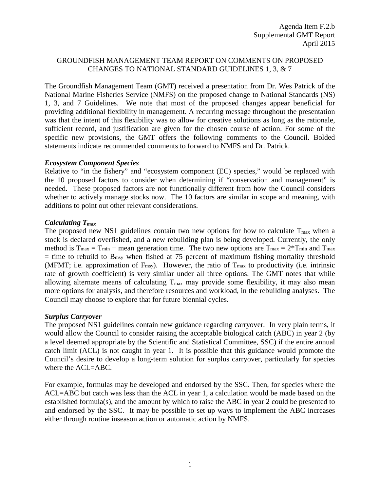### GROUNDFISH MANAGEMENT TEAM REPORT ON COMMENTS ON PROPOSED CHANGES TO NATIONAL STANDARD GUIDELINES 1, 3, & 7

The Groundfish Management Team (GMT) received a presentation from Dr. Wes Patrick of the National Marine Fisheries Service (NMFS) on the proposed change to National Standards (NS) 1, 3, and 7 Guidelines. We note that most of the proposed changes appear beneficial for providing additional flexibility in management. A recurring message throughout the presentation was that the intent of this flexibility was to allow for creative solutions as long as the rationale, sufficient record, and justification are given for the chosen course of action. For some of the specific new provisions, the GMT offers the following comments to the Council. Bolded statements indicate recommended comments to forward to NMFS and Dr. Patrick.

### *Ecosystem Component Species*

Relative to "in the fishery" and "ecosystem component (EC) species," would be replaced with the 10 proposed factors to consider when determining if "conservation and management" is needed. These proposed factors are not functionally different from how the Council considers whether to actively manage stocks now. The 10 factors are similar in scope and meaning, with additions to point out other relevant considerations.

### *Calculating Tmax*

The proposed new NS1 guidelines contain two new options for how to calculate  $T_{\text{max}}$  when a stock is declared overfished, and a new rebuilding plan is being developed. Currently, the only method is  $T_{\text{max}} = T_{\text{min}} + \text{mean generation time}$ . The two new options are  $T_{\text{max}} = 2 \cdot T_{\text{min}}$  and  $T_{\text{max}}$  $=$  time to rebuild to B<sub>msy</sub> when fished at 75 percent of maximum fishing mortality threshold (MFMT; i.e. approximation of Fmsy). However, the ratio of Tmax to productivity (i.e. intrinsic rate of growth coefficient) is very similar under all three options. The GMT notes that while allowing alternate means of calculating  $T_{\text{max}}$  may provide some flexibility, it may also mean more options for analysis, and therefore resources and workload, in the rebuilding analyses. The Council may choose to explore that for future biennial cycles.

### *Surplus Carryover*

The proposed NS1 guidelines contain new guidance regarding carryover. In very plain terms, it would allow the Council to consider raising the acceptable biological catch (ABC) in year 2 (by a level deemed appropriate by the Scientific and Statistical Committee, SSC) if the entire annual catch limit (ACL) is not caught in year 1. It is possible that this guidance would promote the Council's desire to develop a long-term solution for surplus carryover, particularly for species where the ACL=ABC.

For example, formulas may be developed and endorsed by the SSC. Then, for species where the ACL=ABC but catch was less than the ACL in year 1, a calculation would be made based on the established formula(s), and the amount by which to raise the ABC in year 2 could be presented to and endorsed by the SSC. It may be possible to set up ways to implement the ABC increases either through routine inseason action or automatic action by NMFS.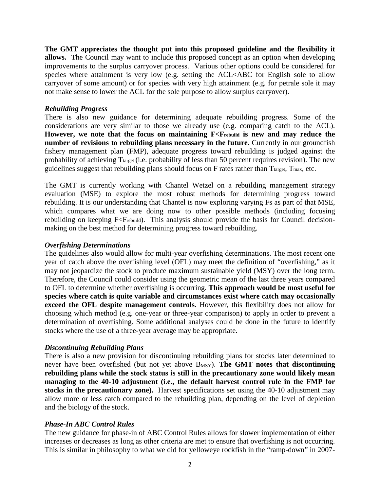**The GMT appreciates the thought put into this proposed guideline and the flexibility it allows.** The Council may want to include this proposed concept as an option when developing improvements to the surplus carryover process. Various other options could be considered for species where attainment is very low (e.g. setting the ACL<ABC for English sole to allow carryover of some amount) or for species with very high attainment (e.g. for petrale sole it may not make sense to lower the ACL for the sole purpose to allow surplus carryover).

### *Rebuilding Progress*

There is also new guidance for determining adequate rebuilding progress. Some of the considerations are very similar to those we already use (e.g. comparing catch to the ACL). **However, we note that the focus on maintaining F<Frebuild is new and may reduce the number of revisions to rebuilding plans necessary in the future.** Currently in our groundfish fishery management plan (FMP), adequate progress toward rebuilding is judged against the probability of achieving T<sub>target</sub> (i.e. probability of less than 50 percent requires revision). The new guidelines suggest that rebuilding plans should focus on  $F$  rates rather than  $T_{\text{target}}$ ,  $T_{\text{max}}$ , etc.

The GMT is currently working with Chantel Wetzel on a rebuilding management strategy evaluation (MSE) to explore the most robust methods for determining progress toward rebuilding. It is our understanding that Chantel is now exploring varying Fs as part of that MSE, which compares what we are doing now to other possible methods (including focusing rebuilding on keeping F<Frebuild). This analysis should provide the basis for Council decisionmaking on the best method for determining progress toward rebuilding.

### *Overfishing Determinations*

The guidelines also would allow for multi-year overfishing determinations. The most recent one year of catch above the overfishing level (OFL) may meet the definition of "overfishing," as it may not jeopardize the stock to produce maximum sustainable yield (MSY) over the long term. Therefore, the Council could consider using the geometric mean of the last three years compared to OFL to determine whether overfishing is occurring. **This approach would be most useful for species where catch is quite variable and circumstances exist where catch may occasionally exceed the OFL despite management controls.** However, this flexibility does not allow for choosing which method (e.g. one-year or three-year comparison) to apply in order to prevent a determination of overfishing. Some additional analyses could be done in the future to identify stocks where the use of a three-year average may be appropriate.

# *Discontinuing Rebuilding Plans*

There is also a new provision for discontinuing rebuilding plans for stocks later determined to never have been overfished (but not yet above B<sub>MSY</sub>). **The GMT notes that discontinuing rebuilding plans while the stock status is still in the precautionary zone would likely mean managing to the 40-10 adjustment (i.e., the default harvest control rule in the FMP for stocks in the precautionary zone).** Harvest specifications set using the 40-10 adjustment may allow more or less catch compared to the rebuilding plan, depending on the level of depletion and the biology of the stock.

# *Phase-In ABC Control Rules*

The new guidance for phase-in of ABC Control Rules allows for slower implementation of either increases or decreases as long as other criteria are met to ensure that overfishing is not occurring. This is similar in philosophy to what we did for yelloweye rockfish in the "ramp-down" in 2007